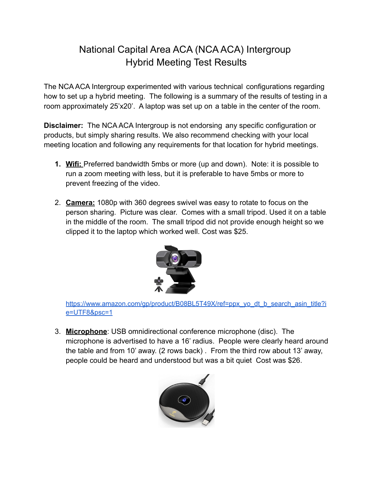## National Capital Area ACA (NCA ACA) Intergroup Hybrid Meeting Test Results

The NCA ACA Intergroup experimented with various technical configurations regarding how to set up a hybrid meeting. The following is a summary of the results of testing in a room approximately 25'x20'. A laptop was set up on a table in the center of the room.

**Disclaimer:** The NCA ACA Intergroup is not endorsing any specific configuration or products, but simply sharing results. We also recommend checking with your local meeting location and following any requirements for that location for hybrid meetings.

- **1. Wifi:** Preferred bandwidth 5mbs or more (up and down). Note: it is possible to run a zoom meeting with less, but it is preferable to have 5mbs or more to prevent freezing of the video.
- 2. **Camera:** 1080p with 360 degrees swivel was easy to rotate to focus on the person sharing. Picture was clear. Comes with a small tripod. Used it on a table in the middle of the room. The small tripod did not provide enough height so we clipped it to the laptop which worked well. Cost was \$25.



[https://www.amazon.com/gp/product/B08BL5T49X/ref=ppx\\_yo\\_dt\\_b\\_search\\_asin\\_title?i](https://www.amazon.com/gp/product/B08BL5T49X/ref=ppx_yo_dt_b_search_asin_title?ie=UTF8&psc=1) [e=UTF8&psc=1](https://www.amazon.com/gp/product/B08BL5T49X/ref=ppx_yo_dt_b_search_asin_title?ie=UTF8&psc=1)

3. **Microphone**: USB omnidirectional conference microphone (disc). The microphone is advertised to have a 16' radius. People were clearly heard around the table and from 10' away. (2 rows back) . From the third row about 13' away, people could be heard and understood but was a bit quiet Cost was \$26.